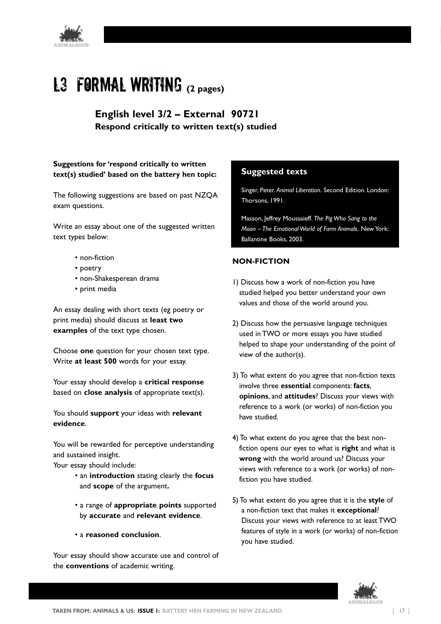

# L3 FORMAL WRITING **(2 pages)**

**English level 3/2 – External 90721 Respond critically to written text(s) studied**

**Suggestions for 'respond critically to written text(s) studied' based on the battery hen topic:**

The following suggestions are based on past NZQA exam questions.

Write an essay about one of the suggested written text types below:

- non-fiction
- poetry
- non-Shakesperean drama
- print media

An essay dealing with short texts (eg poetry or print media) should discuss at **least two examples** of the text type chosen.

Choose **one** question for your chosen text type. Write **at least 500** words for your essay.

Your essay should develop a **critical response** based on **close analysis** of appropriate text(s).

You should **support** your ideas with **relevant evidence**.

You will be rewarded for perceptive understanding and sustained insight.

Your essay should include:

- an **introduction** stating clearly the **focus**  and **scope** of the argument**.**
- a range of **appropriate points** supported by **accurate** and **relevant evidence**.
- a **reasoned conclusion**.

Your essay should show accurate use and control of the **conventions** of academic writing.

### **Suggested texts**

Singer, Peter. *Animal Liberation*. Second Edition*.* London: Thorsons, 1991.

Masson, Jeffrey Moussaieff. *The Pig Who Sang to the Moon – The Emotional World of Farm Animals.* New York: Ballantine Books, 2003.

## **NON-FICTION**

- 1) Discuss how a work of non-fiction you have studied helped you better understand your own values and those of the world around you.
- 2) Discuss how the persuasive language techniques used in TWO or more essays you have studied helped to shape your understanding of the point of view of the author(s).
- 3) To what extent do you agree that non-fiction texts involve three **essential** components: **facts**, **opinions**, and **attitudes**? Discuss your views with reference to a work (or works) of non-fiction you have studied.
- 4) To what extent do you agree that the best nonfiction opens our eyes to what is **right** and what is **wrong** with the world around us? Discuss your views with reference to a work (or works) of nonfiction you have studied.
- 5) To what extent do you agree that it is the **style** of a non-fiction text that makes it **exceptional**? Discuss your views with reference to at least TWO features of style in a work (or works) of non-fiction you have studied.